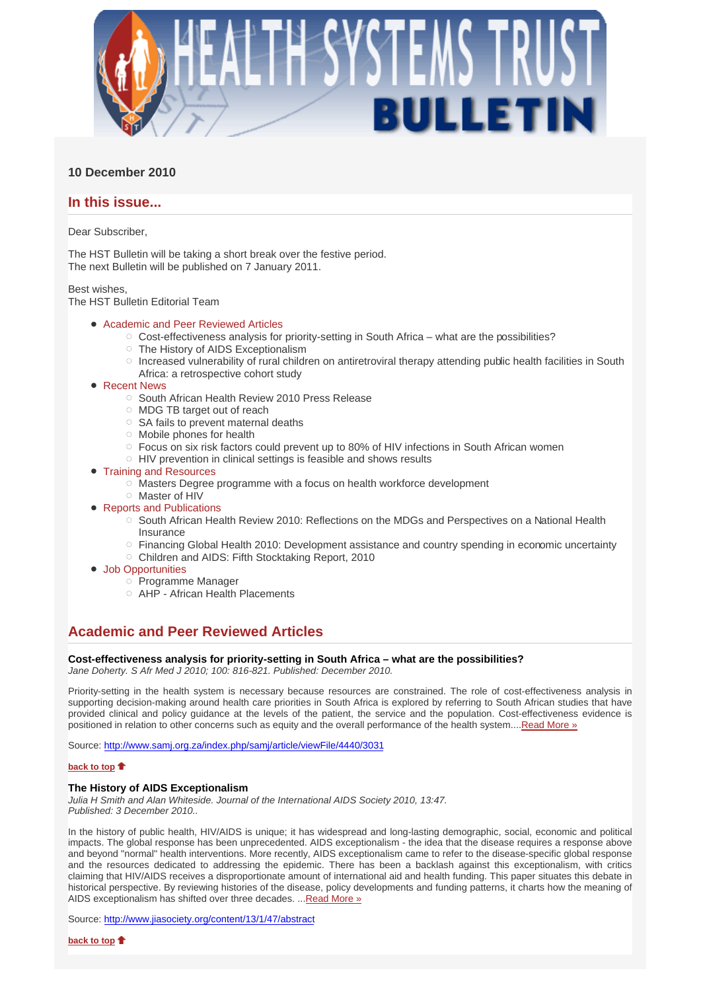

## **10 December 2010**

## **In this issue...**

Dear Subscriber,

The HST Bulletin will be taking a short break over the festive period. The next Bulletin will be published on 7 January 2011.

Best wishes, The HST Bulletin Editorial Team

## Academic and Peer Reviewed Articles

- $\circ$  Cost-effectiveness analysis for priority-setting in South Africa what are the possibilities?
- The History of AIDS Exceptionalism
- Increased vulnerability of rural children on antiretroviral therapy attending public health facilities in South
- Africa: a retrospective cohort study
- Recent News
	- South African Health Review 2010 Press Release
	- MDG TB target out of reach
	- $\circ$  SA fails to prevent maternal deaths
	- $\circ$  Mobile phones for health
	- Focus on six risk factors could prevent up to 80% of HIV infections in South African women
	- HIV prevention in clinical settings is feasible and shows results
- Training and Resources
	- $\circ$  Masters Degree programme with a focus on health workforce development
	- Master of HIV
- Reports and Publications
	- South African Health Review 2010: Reflections on the MDGs and Perspectives on a National Health Insurance
	- Financing Global Health 2010: Development assistance and country spending in economic uncertainty
	- Children and AIDS: Fifth Stocktaking Report, 2010
- Job Opportunities
	- $\circ$  Programme Manager
	- AHP African Health Placements

# **Academic and Peer Reviewed Articles**

# **Cost-effectiveness analysis for priority-setting in South Africa – what are the possibilities?**

*Jane Doherty. S Afr Med J 2010; 100: 816-821. Published: December 2010.* 

Priority-setting in the health system is necessary because resources are constrained. The role of cost-effectiveness analysis in supporting decision-making around health care priorities in South Africa is explored by referring to South African studies that have provided clinical and policy guidance at the levels of the patient, the service and the population. Cost-effectiveness evidence is positioned in relation to other concerns such as equity and the overall performance of the health system....Read More »

Source: http://www.samj.org.za/index.php/samj/article/viewFile/4440/3031

## **back to top**

## **The History of AIDS Exceptionalism**

*Julia H Smith and Alan Whiteside. Journal of the International AIDS Society 2010, 13:47. Published: 3 December 2010..*

In the history of public health, HIV/AIDS is unique; it has widespread and long-lasting demographic, social, economic and political impacts. The global response has been unprecedented. AIDS exceptionalism - the idea that the disease requires a response above and beyond "normal" health interventions. More recently, AIDS exceptionalism came to refer to the disease-specific global response and the resources dedicated to addressing the epidemic. There has been a backlash against this exceptionalism, with critics claiming that HIV/AIDS receives a disproportionate amount of international aid and health funding. This paper situates this debate in historical perspective. By reviewing histories of the disease, policy developments and funding patterns, it charts how the meaning of AIDS exceptionalism has shifted over three decades. ...Read More »

Source: http://www.jiasociety.org/content/13/1/47/abstract

**back to top**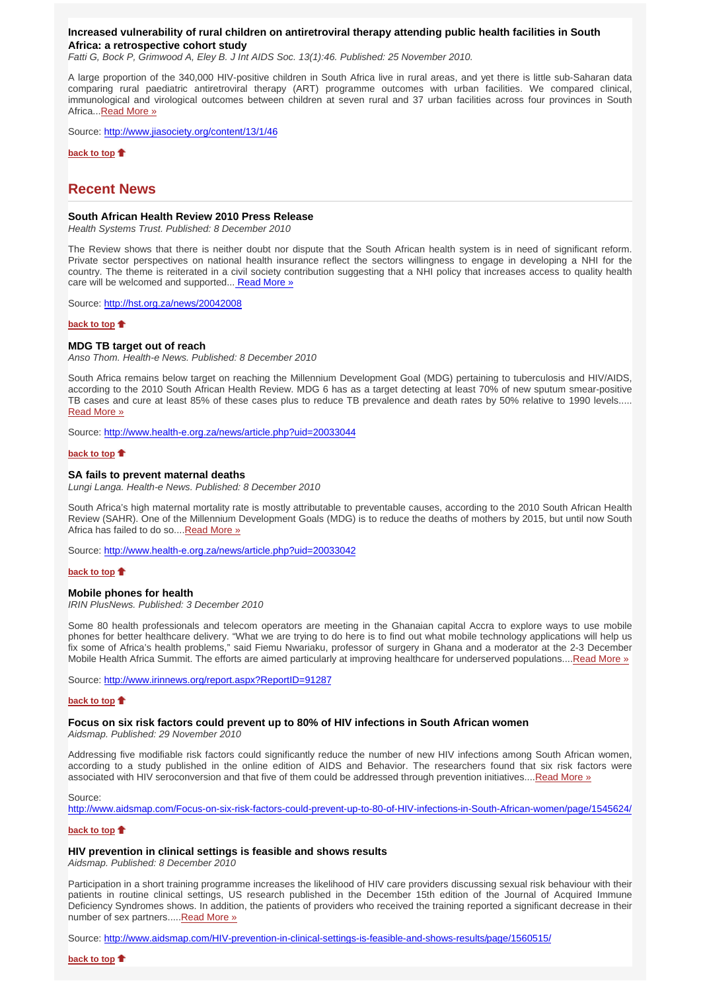### **Increased vulnerability of rural children on antiretroviral therapy attending public health facilities in South Africa: a retrospective cohort study**

*Fatti G, Bock P, Grimwood A, Eley B. J Int AIDS Soc. 13(1):46. Published: 25 November 2010.*

A large proportion of the 340,000 HIV-positive children in South Africa live in rural areas, and yet there is little sub-Saharan data comparing rural paediatric antiretroviral therapy (ART) programme outcomes with urban facilities. We compared clinical, immunological and virological outcomes between children at seven rural and 37 urban facilities across four provinces in South Africa...Read More »

Source: http://www.jiasociety.org/content/13/1/46

**back to top**

## **Recent News**

#### **South African Health Review 2010 Press Release**

*Health Systems Trust. Published: 8 December 2010*

The Review shows that there is neither doubt nor dispute that the South African health system is in need of significant reform. Private sector perspectives on national health insurance reflect the sectors willingness to engage in developing a NHI for the country. The theme is reiterated in a civil society contribution suggesting that a NHI policy that increases access to quality health care will be welcomed and supported... Read More »

Source: http://hst.org.za/news/20042008

### **back to top**

### **MDG TB target out of reach**

*Anso Thom. Health-e News. Published: 8 December 2010*

South Africa remains below target on reaching the Millennium Development Goal (MDG) pertaining to tuberculosis and HIV/AIDS, according to the 2010 South African Health Review. MDG 6 has as a target detecting at least 70% of new sputum smear-positive TB cases and cure at least 85% of these cases plus to reduce TB prevalence and death rates by 50% relative to 1990 levels..... Read More »

Source: http://www.health-e.org.za/news/article.php?uid=20033044

#### **back to top**

#### **SA fails to prevent maternal deaths**

*Lungi Langa. Health-e News. Published: 8 December 2010*

South Africa's high maternal mortality rate is mostly attributable to preventable causes, according to the 2010 South African Health Review (SAHR). One of the Millennium Development Goals (MDG) is to reduce the deaths of mothers by 2015, but until now South Africa has failed to do so....Read More »

Source: http://www.health-e.org.za/news/article.php?uid=20033042

#### **back to top**

#### **Mobile phones for health**

*IRIN PlusNews. Published: 3 December 2010*

Some 80 health professionals and telecom operators are meeting in the Ghanaian capital Accra to explore ways to use mobile phones for better healthcare delivery. "What we are trying to do here is to find out what mobile technology applications will help us fix some of Africa's health problems," said Fiemu Nwariaku, professor of surgery in Ghana and a moderator at the 2-3 December Mobile Health Africa Summit. The efforts are aimed particularly at improving healthcare for underserved populations....Read More »

Source: http://www.irinnews.org/report.aspx?ReportID=91287

#### **back to top**

#### **Focus on six risk factors could prevent up to 80% of HIV infections in South African women**

*Aidsmap. Published: 29 November 2010*

Addressing five modifiable risk factors could significantly reduce the number of new HIV infections among South African women, according to a study published in the online edition of AIDS and Behavior. The researchers found that six risk factors were associated with HIV seroconversion and that five of them could be addressed through prevention initiatives....Read More »

#### Source:

http://www.aidsmap.com/Focus-on-six-risk-factors-could-prevent-up-to-80-of-HIV-infections-in-South-African-women/page/1545624/

#### **back to top**

#### **HIV prevention in clinical settings is feasible and shows results**

*Aidsmap. Published: 8 December 2010*

Participation in a short training programme increases the likelihood of HIV care providers discussing sexual risk behaviour with their patients in routine clinical settings, US research published in the December 15th edition of the Journal of Acquired Immune Deficiency Syndromes shows. In addition, the patients of providers who received the training reported a significant decrease in their number of sex partners.....Read More »

Source: http://www.aidsmap.com/HIV-prevention-in-clinical-settings-is-feasible-and-shows-results/page/1560515/

#### **back to top**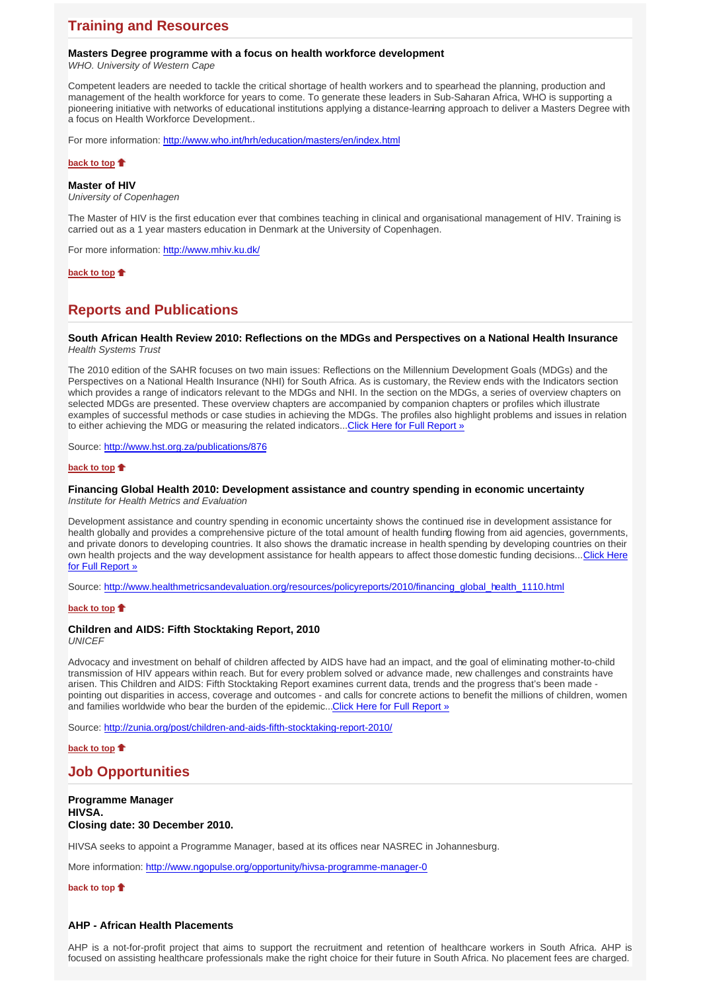# **Training and Resources**

## **Masters Degree programme with a focus on health workforce development**

*WHO. University of Western Cape*

Competent leaders are needed to tackle the critical shortage of health workers and to spearhead the planning, production and management of the health workforce for years to come. To generate these leaders in Sub-Saharan Africa, WHO is supporting a pioneering initiative with networks of educational institutions applying a distance-learning approach to deliver a Masters Degree with a focus on Health Workforce Development..

For more information: http://www.who.int/hrh/education/masters/en/index.html

## **back to top**

**Master of HIV**

*University of Copenhagen*

The Master of HIV is the first education ever that combines teaching in clinical and organisational management of HIV. Training is carried out as a 1 year masters education in Denmark at the University of Copenhagen.

For more information: http://www.mhiv.ku.dk/

## **back to top**

# **Reports and Publications**

## **South African Health Review 2010: Reflections on the MDGs and Perspectives on a National Health Insurance**  *Health Systems Trust*

The 2010 edition of the SAHR focuses on two main issues: Reflections on the Millennium Development Goals (MDGs) and the Perspectives on a National Health Insurance (NHI) for South Africa. As is customary, the Review ends with the Indicators section which provides a range of indicators relevant to the MDGs and NHI. In the section on the MDGs, a series of overview chapters on selected MDGs are presented. These overview chapters are accompanied by companion chapters or profiles which illustrate examples of successful methods or case studies in achieving the MDGs. The profiles also highlight problems and issues in relation to either achieving the MDG or measuring the related indicators...Click Here for Full Report »

Source: http://www.hst.org.za/publications/876

#### **back to top**

## **Financing Global Health 2010: Development assistance and country spending in economic uncertainty**

*Institute for Health Metrics and Evaluation*

Development assistance and country spending in economic uncertainty shows the continued rise in development assistance for health globally and provides a comprehensive picture of the total amount of health funding flowing from aid agencies, governments, and private donors to developing countries. It also shows the dramatic increase in health spending by developing countries on their own health projects and the way development assistance for health appears to affect those domestic funding decisions...Click Here for Full Report »

Source: http://www.healthmetricsandevaluation.org/resources/policyreports/2010/financing\_global\_health\_1110.html

#### **back to top**

## **Children and AIDS: Fifth Stocktaking Report, 2010**

*UNICEF*

Advocacy and investment on behalf of children affected by AIDS have had an impact, and the goal of eliminating mother-to-child transmission of HIV appears within reach. But for every problem solved or advance made, new challenges and constraints have arisen. This Children and AIDS: Fifth Stocktaking Report examines current data, trends and the progress that's been made pointing out disparities in access, coverage and outcomes - and calls for concrete actions to benefit the millions of children, women and families worldwide who bear the burden of the epidemic...Click Here for Full Report »

Source: http://zunia.org/post/children-and-aids-fifth-stocktaking-report-2010/

## **back to top**

# **Job Opportunities**

**Programme Manager HIVSA. Closing date: 30 December 2010.**

HIVSA seeks to appoint a Programme Manager, based at its offices near NASREC in Johannesburg.

More information: http://www.ngopulse.org/opportunity/hivsa-programme-manager-0

#### **back to top**

## **AHP - African Health Placements**

AHP is a not-for-profit project that aims to support the recruitment and retention of healthcare workers in South Africa. AHP is focused on assisting healthcare professionals make the right choice for their future in South Africa. No placement fees are charged.